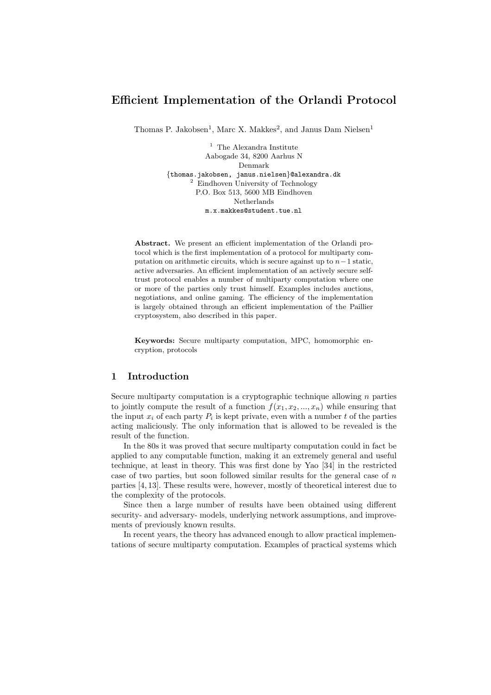# Efficient Implementation of the Orlandi Protocol

Thomas P. Jakobsen<sup>1</sup>, Marc X. Makkes<sup>2</sup>, and Janus Dam Nielsen<sup>1</sup>

 $^{\rm 1}$  The Alexandra Institute Aabogade 34, 8200 Aarhus N Denmark {thomas.jakobsen, janus.nielsen}@alexandra.dk <sup>2</sup> Eindhoven University of Technology P.O. Box 513, 5600 MB Eindhoven Netherlands m.x.makkes@student.tue.nl

Abstract. We present an efficient implementation of the Orlandi protocol which is the first implementation of a protocol for multiparty computation on arithmetic circuits, which is secure against up to  $n-1$  static, active adversaries. An efficient implementation of an actively secure selftrust protocol enables a number of multiparty computation where one or more of the parties only trust himself. Examples includes auctions, negotiations, and online gaming. The efficiency of the implementation is largely obtained through an efficient implementation of the Paillier cryptosystem, also described in this paper.

Keywords: Secure multiparty computation, MPC, homomorphic encryption, protocols

### 1 Introduction

Secure multiparty computation is a cryptographic technique allowing  $n$  parties to jointly compute the result of a function  $f(x_1, x_2, ..., x_n)$  while ensuring that the input  $x_i$  of each party  $P_i$  is kept private, even with a number t of the parties acting maliciously. The only information that is allowed to be revealed is the result of the function.

In the 80s it was proved that secure multiparty computation could in fact be applied to any computable function, making it an extremely general and useful technique, at least in theory. This was first done by Yao [34] in the restricted case of two parties, but soon followed similar results for the general case of  $n$ parties [4, 13]. These results were, however, mostly of theoretical interest due to the complexity of the protocols.

Since then a large number of results have been obtained using different security- and adversary- models, underlying network assumptions, and improvements of previously known results.

In recent years, the theory has advanced enough to allow practical implementations of secure multiparty computation. Examples of practical systems which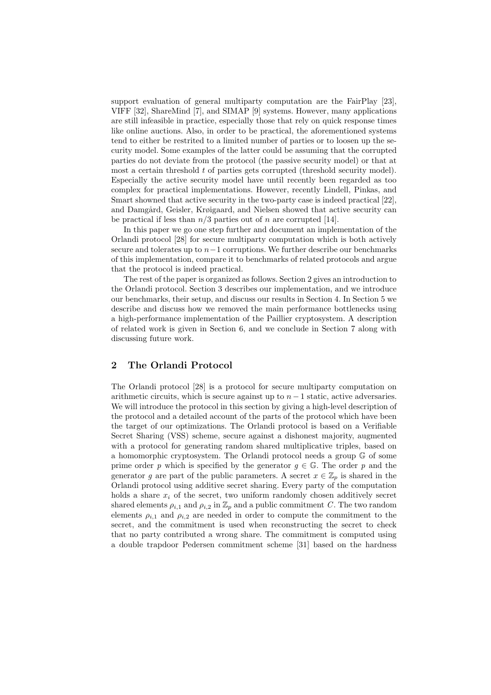support evaluation of general multiparty computation are the FairPlay [23], VIFF [32], ShareMind [7], and SIMAP [9] systems. However, many applications are still infeasible in practice, especially those that rely on quick response times like online auctions. Also, in order to be practical, the aforementioned systems tend to either be restrited to a limited number of parties or to loosen up the security model. Some examples of the latter could be assuming that the corrupted parties do not deviate from the protocol (the passive security model) or that at most a certain threshold  $t$  of parties gets corrupted (threshold security model). Especially the active security model have until recently been regarded as too complex for practical implementations. However, recently Lindell, Pinkas, and Smart showned that active security in the two-party case is indeed practical [22], and Damgård, Geisler, Krøigaard, and Nielsen showed that active security can be practical if less than  $n/3$  parties out of n are corrupted [14].

In this paper we go one step further and document an implementation of the Orlandi protocol [28] for secure multiparty computation which is both actively secure and tolerates up to  $n-1$  corruptions. We further describe our benchmarks of this implementation, compare it to benchmarks of related protocols and argue that the protocol is indeed practical.

The rest of the paper is organized as follows. Section 2 gives an introduction to the Orlandi protocol. Section 3 describes our implementation, and we introduce our benchmarks, their setup, and discuss our results in Section 4. In Section 5 we describe and discuss how we removed the main performance bottlenecks using a high-performance implementation of the Paillier cryptosystem. A description of related work is given in Section 6, and we conclude in Section 7 along with discussing future work.

# 2 The Orlandi Protocol

The Orlandi protocol [28] is a protocol for secure multiparty computation on arithmetic circuits, which is secure against up to  $n - 1$  static, active adversaries. We will introduce the protocol in this section by giving a high-level description of the protocol and a detailed account of the parts of the protocol which have been the target of our optimizations. The Orlandi protocol is based on a Verifiable Secret Sharing (VSS) scheme, secure against a dishonest majority, augmented with a protocol for generating random shared multiplicative triples, based on a homomorphic cryptosystem. The Orlandi protocol needs a group G of some prime order p which is specified by the generator  $g \in \mathbb{G}$ . The order p and the generator g are part of the public parameters. A secret  $x \in \mathbb{Z}_p$  is shared in the Orlandi protocol using additive secret sharing. Every party of the computation holds a share  $x_i$  of the secret, two uniform randomly chosen additively secret shared elements  $\rho_{i,1}$  and  $\rho_{i,2}$  in  $\mathbb{Z}_p$  and a public commitment C. The two random elements  $\rho_{i,1}$  and  $\rho_{i,2}$  are needed in order to compute the commitment to the secret, and the commitment is used when reconstructing the secret to check that no party contributed a wrong share. The commitment is computed using a double trapdoor Pedersen commitment scheme [31] based on the hardness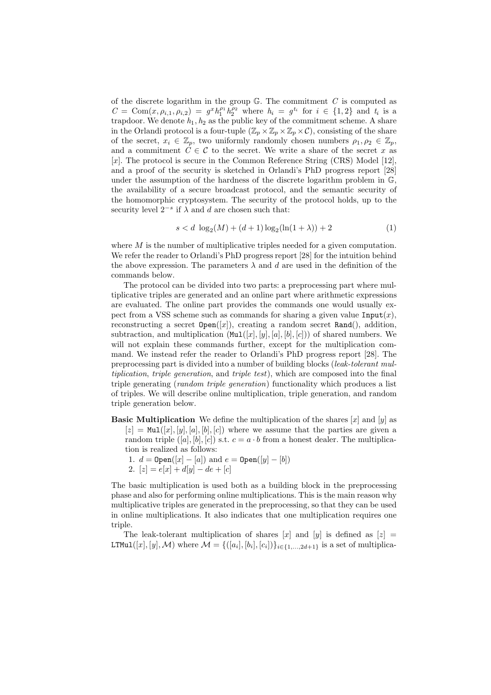of the discrete logarithm in the group  $\mathbb{G}$ . The commitment C is computed as  $C = \text{Com}(x, \rho_{i,1}, \rho_{i,2}) = g^x h_1^{\rho_1} h_2^{\rho_2}$  where  $h_i = g^{t_i}$  for  $i \in \{1,2\}$  and  $t_i$  is a trapdoor. We denote  $h_1, h_2$  as the public key of the commitment scheme. A share in the Orlandi protocol is a four-tuple  $(\mathbb{Z}_p \times \mathbb{Z}_p \times \mathbb{Z}_p \times \mathcal{C})$ , consisting of the share of the secret,  $x_i \in \mathbb{Z}_p$ , two uniformly randomly chosen numbers  $\rho_1, \rho_2 \in \mathbb{Z}_p$ , and a commitment  $C \in \mathcal{C}$  to the secret. We write a share of the secret x as [x]. The protocol is secure in the Common Reference String (CRS) Model [12], and a proof of the security is sketched in Orlandi's PhD progress report [28] under the assumption of the hardness of the discrete logarithm problem in  $\mathbb{G}$ , the availability of a secure broadcast protocol, and the semantic security of the homomorphic cryptosystem. The security of the protocol holds, up to the security level  $2^{-s}$  if  $\lambda$  and d are chosen such that:

$$
s < d \log_2(M) + (d+1)\log_2(\ln(1+\lambda)) + 2
$$
 (1)

where  $M$  is the number of multiplicative triples needed for a given computation. We refer the reader to Orlandi's PhD progress report [28] for the intuition behind the above expression. The parameters  $\lambda$  and d are used in the definition of the commands below.

The protocol can be divided into two parts: a preprocessing part where multiplicative triples are generated and an online part where arithmetic expressions are evaluated. The online part provides the commands one would usually expect from a VSS scheme such as commands for sharing a given value  $\text{Input}(x)$ , reconstructing a secret  $Open([x])$ , creating a random secret Rand(), addition, subtraction, and multiplication  $(\text{Mul}([x], [y], [a], [b], [c]))$  of shared numbers. We will not explain these commands further, except for the multiplication command. We instead refer the reader to Orlandi's PhD progress report [28]. The preprocessing part is divided into a number of building blocks (leak-tolerant multiplication, triple generation, and triple test), which are composed into the final triple generating (random triple generation) functionality which produces a list of triples. We will describe online multiplication, triple generation, and random triple generation below.

- **Basic Multiplication** We define the multiplication of the shares [x] and [y] as  $[z] = \text{Mul}([x], [y], [a], [b], [c])$  where we assume that the parties are given a random triple  $([a], [b], [c])$  s.t.  $c = a \cdot b$  from a honest dealer. The multiplication is realized as follows:
	- 1.  $d = \text{Open}([x] [a])$  and  $e = \text{Open}([y] [b])$
	- 2.  $[z] = e[x] + d[y] de + [c]$

The basic multiplication is used both as a building block in the preprocessing phase and also for performing online multiplications. This is the main reason why multiplicative triples are generated in the preprocessing, so that they can be used in online multiplications. It also indicates that one multiplication requires one triple.

The leak-tolerant multiplication of shares  $[x]$  and  $[y]$  is defined as  $[z]$  = LTMul $([x], [y], \mathcal{M})$  where  $\mathcal{M} = \{([a_i], [b_i], [c_i])\}_{i \in \{1, ..., 2d+1\}}$  is a set of multiplica-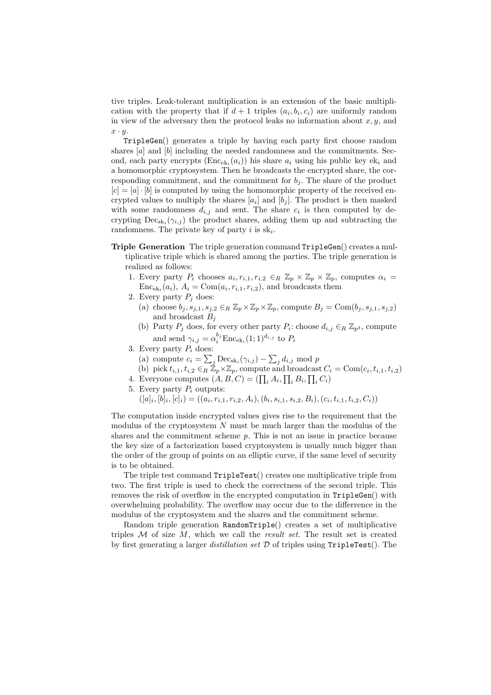tive triples. Leak-tolerant multiplication is an extension of the basic multiplication with the property that if  $d+1$  triples  $(a_i, b_i, c_i)$  are uniformly random in view of the adversary then the protocol leaks no information about  $x, y$ , and  $x \cdot y$ .

TripleGen() generates a triple by having each party first choose random shares [a] and [b] including the needed randomness and the commitments. Second, each party encrypts  $(Enc_{ek<sub>i</sub>}(a<sub>i</sub>))$  his share  $a<sub>i</sub>$  using his public key ek<sub>i</sub> and a homomorphic cryptosystem. Then he broadcasts the encrypted share, the corresponding commitment, and the commitment for  $b_j$ . The share of the product  $[c] = [a] \cdot [b]$  is computed by using the homomorphic property of the received encrypted values to multiply the shares  $[a_i]$  and  $[b_j]$ . The product is then masked with some randomness  $d_{i,j}$  and sent. The share  $c_i$  is then computed by decrypting  $\text{Dec}_{\text{sk}_i}(\gamma_{i,j})$  the product shares, adding them up and subtracting the randomness. The private key of party i is  $sk_i$ .

- Triple Generation The triple generation command TripleGen() creates a multiplicative triple which is shared among the parties. The triple generation is realized as follows:
	- 1. Every party  $P_i$  chooses  $a_i, r_{i,1}, r_{i,2} \in_R \mathbb{Z}_p \times \mathbb{Z}_p \times \mathbb{Z}_p$ , computes  $\alpha_i =$  $Enc<sub>ek<sub>i</sub></sub>(a<sub>i</sub>)$ ,  $A<sub>i</sub> = Com(a<sub>i</sub>, r<sub>i,1</sub>, r<sub>i,2</sub>)$ , and broadcasts them
	- 2. Every party  $P_j$  does:
		- (a) choose  $b_j, s_{j,1}, s_{j,2} \in_R \mathbb{Z}_p \times \mathbb{Z}_p \times \mathbb{Z}_p$ , compute  $B_j = \text{Com}(b_j, s_{j,1}, s_{j,2})$ and broadcast  $B_i$
		- (b) Party  $P_j$  does, for every other party  $P_i$ : choose  $d_{i,j} \in_R \mathbb{Z}_{p^3}$ , compute and send  $\gamma_{i,j} = \alpha_i^{b_j} \text{Enc}_{\text{ek}_i}(1;1)^{d_{i,j}}$  to  $P_i$
	- 3. Every party  $P_i$  does:
		- (a) compute  $c_i = \sum_j \text{Dec}_{sk_i}(\gamma_{i,j}) \sum_j d_{i,j} \text{ mod } p$
		- (b) pick  $t_{i,1}, t_{i,2} \in \overline{R} \mathbb{Z}_p \times \mathbb{Z}_p$ , compute and broadcast  $C_i = \text{Com}(c_i, t_{i,1}, t_{i,2})$
	- 4. Everyone computes  $(A, B, C) = (\prod_i A_i, \prod_i B_i, \prod_i C_i)$
	- 5. Every party  $P_i$  outputs:
		- $([a]_i, [b]_i, [c]_i) = ((a_i, r_{i,1}, r_{i,2}, A_i), (b_i, s_{i,1}, s_{i,2}, B_i), (c_i, t_{i,1}, t_{i,2}, C_i))$

The computation inside encrypted values gives rise to the requirement that the modulus of the cryptosystem  $N$  must be much larger than the modulus of the shares and the commitment scheme  $p$ . This is not an issue in practice because the key size of a factorization based cryptosystem is usually much bigger than the order of the group of points on an elliptic curve, if the same level of security is to be obtained.

The triple test command TripleTest() creates one multiplicative triple from two. The first triple is used to check the correctness of the second triple. This removes the risk of overflow in the encrypted computation in TripleGen() with overwhelming probability. The overflow may occur due to the differrence in the modulus of the cryptosystem and the shares and the commitment scheme.

Random triple generation RandomTriple() creates a set of multiplicative triples  $\mathcal M$  of size  $M$ , which we call the *result set*. The result set is created by first generating a larger *distillation set*  $D$  of triples using  $Tripletest()$ . The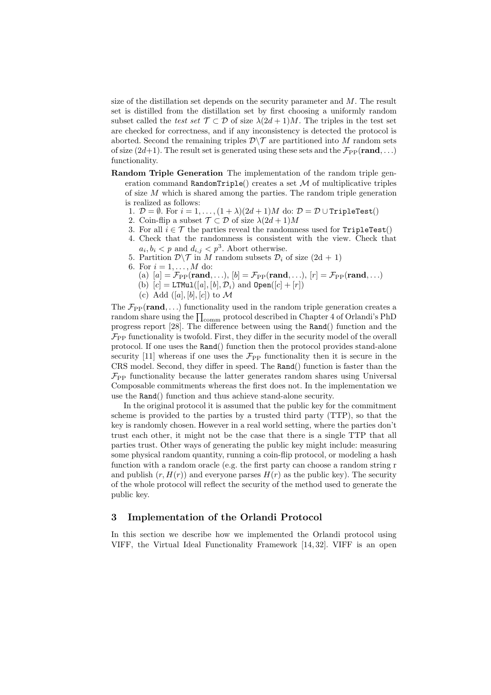size of the distillation set depends on the security parameter and  $M$ . The result set is distilled from the distillation set by first choosing a uniformly random subset called the test set  $\mathcal{T} \subset \mathcal{D}$  of size  $\lambda(2d+1)M$ . The triples in the test set are checked for correctness, and if any inconsistency is detected the protocol is aborted. Second the remaining triples  $\mathcal{D}\setminus\mathcal{T}$  are partitioned into M random sets of size  $(2d+1)$ . The result set is generated using these sets and the  $\mathcal{F}_{\text{PP}}(\text{rand}, \ldots)$ functionality.

- Random Triple Generation The implementation of the random triple generation command RandomTriple() creates a set  $\mathcal M$  of multiplicative triples of size M which is shared among the parties. The random triple generation is realized as follows:
	- 1.  $\mathcal{D} = \emptyset$ . For  $i = 1, ..., (1 + \lambda)(2d + 1)M$  do:  $\mathcal{D} = \mathcal{D} \cup \text{TripleTest}()$
	- 2. Coin-flip a subset  $\mathcal{T} \subset \mathcal{D}$  of size  $\lambda(2d+1)M$
	- 3. For all  $i \in \mathcal{T}$  the parties reveal the randomness used for TripleTest()
	- 4. Check that the randomness is consistent with the view. Check that  $a_i, b_i < p$  and  $d_{i,j} < p^3$ . Abort otherwise.
	- 5. Partition  $\mathcal{D}\setminus\mathcal{T}$  in M random subsets  $\mathcal{D}_i$  of size  $(2d + 1)$
	- 6. For  $i = 1, ..., M$  do:
		- (a)  $[a] = \mathcal{F}_{PP}(\text{rand}, \ldots), [b] = \mathcal{F}_{PP}(\text{rand}, \ldots), [r] = \mathcal{F}_{PP}(\text{rand}, \ldots)$
		- (b)  $[c] = \text{LTMul}([a], [b], \mathcal{D}_i)$  and  $\text{Open}([c] + [r])$
		- (c) Add  $([a], [b], [c])$  to M

The  $\mathcal{F}_{PP}(\text{rand}, \ldots)$  functionality used in the random triple generation creates a random share using the  $\prod_{\mathrm{comm}}$  protocol described in Chapter 4 of Orlandi's PhD progress report [28]. The difference between using the Rand() function and the  $\mathcal{F}_{\mathrm{PP}}$  functionality is twofold. First, they differ in the security model of the overall protocol. If one uses the Rand() function then the protocol provides stand-alone security [11] whereas if one uses the  $\mathcal{F}_{\text{PP}}$  functionality then it is secure in the CRS model. Second, they differ in speed. The Rand() function is faster than the  $\mathcal{F}_{\text{PP}}$  functionality because the latter generates random shares using Universal Composable commitments whereas the first does not. In the implementation we use the Rand() function and thus achieve stand-alone security.

In the original protocol it is assumed that the public key for the commitment scheme is provided to the parties by a trusted third party (TTP), so that the key is randomly chosen. However in a real world setting, where the parties don't trust each other, it might not be the case that there is a single TTP that all parties trust. Other ways of generating the public key might include: measuring some physical random quantity, running a coin-flip protocol, or modeling a hash function with a random oracle (e.g. the first party can choose a random string r and publish  $(r, H(r))$  and everyone parses  $H(r)$  as the public key). The security of the whole protocol will reflect the security of the method used to generate the public key.

## 3 Implementation of the Orlandi Protocol

In this section we describe how we implemented the Orlandi protocol using VIFF, the Virtual Ideal Functionality Framework [14, 32]. VIFF is an open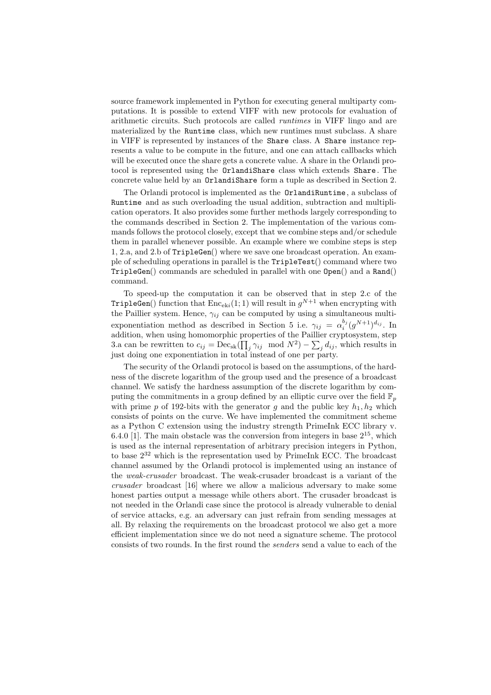source framework implemented in Python for executing general multiparty computations. It is possible to extend VIFF with new protocols for evaluation of arithmetic circuits. Such protocols are called runtimes in VIFF lingo and are materialized by the Runtime class, which new runtimes must subclass. A share in VIFF is represented by instances of the Share class. A Share instance represents a value to be compute in the future, and one can attach callbacks which will be executed once the share gets a concrete value. A share in the Orlandi protocol is represented using the OrlandiShare class which extends Share . The concrete value held by an OrlandiShare form a tuple as described in Section 2.

The Orlandi protocol is implemented as the OrlandiRuntime, a subclass of Runtime and as such overloading the usual addition, subtraction and multiplication operators. It also provides some further methods largely corresponding to the commands described in Section 2. The implementation of the various commands follows the protocol closely, except that we combine steps and/or schedule them in parallel whenever possible. An example where we combine steps is step 1, 2.a, and 2.b of TripleGen() where we save one broadcast operation. An example of scheduling operations in parallel is the TripleTest() command where two TripleGen() commands are scheduled in parallel with one Open() and a Rand() command.

To speed-up the computation it can be observed that in step 2.c of the TripleGen() function that  $\text{Enc}_{\textup{ek}i}(1;1)$  will result in  $g^{N+1}$  when encrypting with the Paillier system. Hence,  $\gamma_{ij}$  can be computed by using a simultaneous multiexponentiation method as described in Section 5 i.e.  $\gamma_{ij} = \alpha_i^{b_j} (g^{N+1})^{d_{ij}}$ . In addition, when using homomorphic properties of the Paillier cryptosystem, step 3.a can be rewritten to  $c_{ij} = \text{Dec}_{sk}(\prod_j \gamma_{ij} \mod N^2) - \sum_j d_{ij}$ , which results in just doing one exponentiation in total instead of one per party.

The security of the Orlandi protocol is based on the assumptions, of the hardness of the discrete logarithm of the group used and the presence of a broadcast channel. We satisfy the hardness assumption of the discrete logarithm by computing the commitments in a group defined by an elliptic curve over the field  $\mathbb{F}_p$ with prime p of 192-bits with the generator g and the public key  $h_1, h_2$  which consists of points on the curve. We have implemented the commitment scheme as a Python C extension using the industry strength PrimeInk ECC library v. 6.4.0 [1]. The main obstacle was the conversion from integers in base  $2^{15}$ , which is used as the internal representation of arbitrary precision integers in Python, to base  $2^{32}$  which is the representation used by PrimeInk ECC. The broadcast channel assumed by the Orlandi protocol is implemented using an instance of the weak-crusader broadcast. The weak-crusader broadcast is a variant of the crusader broadcast [16] where we allow a malicious adversary to make some honest parties output a message while others abort. The crusader broadcast is not needed in the Orlandi case since the protocol is already vulnerable to denial of service attacks, e.g. an adversary can just refrain from sending messages at all. By relaxing the requirements on the broadcast protocol we also get a more efficient implementation since we do not need a signature scheme. The protocol consists of two rounds. In the first round the senders send a value to each of the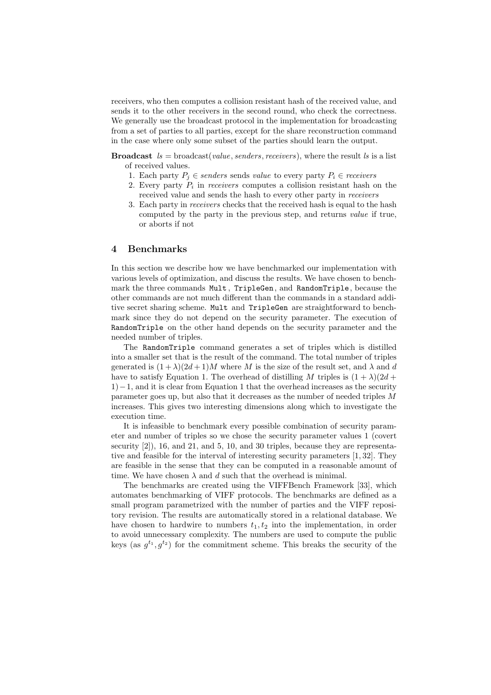receivers, who then computes a collision resistant hash of the received value, and sends it to the other receivers in the second round, who check the correctness. We generally use the broadcast protocol in the implementation for broadcasting from a set of parties to all parties, except for the share reconstruction command in the case where only some subset of the parties should learn the output.

**Broadcast**  $ls = broadcast(value, senders, receivers)$ , where the result  $ls$  is a list of received values.

- 1. Each party  $P_i \in senders$  sends value to every party  $P_i \in receivers$
- 2. Every party  $P_i$  in *receivers* computes a collision resistant hash on the received value and sends the hash to every other party in receivers
- 3. Each party in receivers checks that the received hash is equal to the hash computed by the party in the previous step, and returns value if true, or aborts if not

### 4 Benchmarks

In this section we describe how we have benchmarked our implementation with various levels of optimization, and discuss the results. We have chosen to benchmark the three commands Mult , TripleGen, and RandomTriple, because the other commands are not much different than the commands in a standard additive secret sharing scheme. Mult and TripleGen are straightforward to benchmark since they do not depend on the security parameter. The execution of RandomTriple on the other hand depends on the security parameter and the needed number of triples.

The RandomTriple command generates a set of triples which is distilled into a smaller set that is the result of the command. The total number of triples generated is  $(1 + \lambda)(2d + 1)M$  where M is the size of the result set, and  $\lambda$  and d have to satisfy Equation 1. The overhead of distilling M triples is  $(1 + \lambda)(2d +$ 1)−1, and it is clear from Equation 1 that the overhead increases as the security parameter goes up, but also that it decreases as the number of needed triples M increases. This gives two interesting dimensions along which to investigate the execution time.

It is infeasible to benchmark every possible combination of security parameter and number of triples so we chose the security parameter values 1 (covert security  $[2]$ , 16, and 21, and 5, 10, and 30 triples, because they are representative and feasible for the interval of interesting security parameters [1, 32]. They are feasible in the sense that they can be computed in a reasonable amount of time. We have chosen  $\lambda$  and  $d$  such that the overhead is minimal.

The benchmarks are created using the VIFFBench Framework [33], which automates benchmarking of VIFF protocols. The benchmarks are defined as a small program parametrized with the number of parties and the VIFF repository revision. The results are automatically stored in a relational database. We have chosen to hardwire to numbers  $t_1, t_2$  into the implementation, in order to avoid unnecessary complexity. The numbers are used to compute the public keys (as  $g^{t_1}, g^{t_2}$ ) for the commitment scheme. This breaks the security of the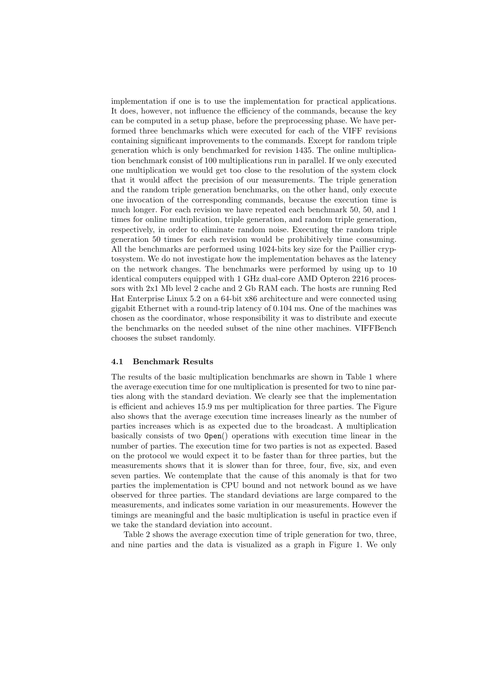implementation if one is to use the implementation for practical applications. It does, however, not influence the efficiency of the commands, because the key can be computed in a setup phase, before the preprocessing phase. We have performed three benchmarks which were executed for each of the VIFF revisions containing significant improvements to the commands. Except for random triple generation which is only benchmarked for revision 1435. The online multiplication benchmark consist of 100 multiplications run in parallel. If we only executed one multiplication we would get too close to the resolution of the system clock that it would affect the precision of our measurements. The triple generation and the random triple generation benchmarks, on the other hand, only execute one invocation of the corresponding commands, because the execution time is much longer. For each revision we have repeated each benchmark 50, 50, and 1 times for online multiplication, triple generation, and random triple generation, respectively, in order to eliminate random noise. Executing the random triple generation 50 times for each revision would be prohibitively time consuming. All the benchmarks are performed using 1024-bits key size for the Paillier cryptosystem. We do not investigate how the implementation behaves as the latency on the network changes. The benchmarks were performed by using up to 10 identical computers equipped with 1 GHz dual-core AMD Opteron 2216 processors with 2x1 Mb level 2 cache and 2 Gb RAM each. The hosts are running Red Hat Enterprise Linux 5.2 on a 64-bit x86 architecture and were connected using gigabit Ethernet with a round-trip latency of 0.104 ms. One of the machines was chosen as the coordinator, whose responsibility it was to distribute and execute the benchmarks on the needed subset of the nine other machines. VIFFBench chooses the subset randomly.

#### 4.1 Benchmark Results

The results of the basic multiplication benchmarks are shown in Table 1 where the average execution time for one multiplication is presented for two to nine parties along with the standard deviation. We clearly see that the implementation is efficient and achieves 15.9 ms per multiplication for three parties. The Figure also shows that the average execution time increases linearly as the number of parties increases which is as expected due to the broadcast. A multiplication basically consists of two Open() operations with execution time linear in the number of parties. The execution time for two parties is not as expected. Based on the protocol we would expect it to be faster than for three parties, but the measurements shows that it is slower than for three, four, five, six, and even seven parties. We contemplate that the cause of this anomaly is that for two parties the implementation is CPU bound and not network bound as we have observed for three parties. The standard deviations are large compared to the measurements, and indicates some variation in our measurements. However the timings are meaningful and the basic multiplication is useful in practice even if we take the standard deviation into account.

Table 2 shows the average execution time of triple generation for two, three, and nine parties and the data is visualized as a graph in Figure 1. We only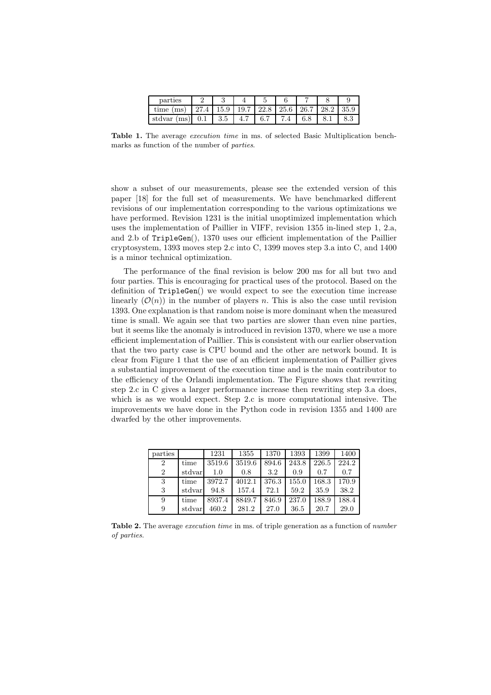| parties     |      |      |     |                            |           |     |      |
|-------------|------|------|-----|----------------------------|-----------|-----|------|
| time (ms)   | 27.4 | 15.9 |     | $19.7 \mid 22.8 \mid 25.6$ | 26.7 28.2 |     | 35.9 |
| stdvar (ms) | 0.1  | 3.5  | 4.7 | 6.7                        |           | 8.1 |      |

Table 1. The average *execution time* in ms. of selected Basic Multiplication benchmarks as function of the number of parties.

show a subset of our measurements, please see the extended version of this paper [18] for the full set of measurements. We have benchmarked different revisions of our implementation corresponding to the various optimizations we have performed. Revision 1231 is the initial unoptimized implementation which uses the implementation of Paillier in VIFF, revision 1355 in-lined step 1, 2.a, and 2.b of TripleGen(), 1370 uses our efficient implementation of the Paillier cryptosystem, 1393 moves step 2.c into C, 1399 moves step 3.a into C, and 1400 is a minor technical optimization.

The performance of the final revision is below 200 ms for all but two and four parties. This is encouraging for practical uses of the protocol. Based on the definition of TripleGen() we would expect to see the execution time increase linearly  $(\mathcal{O}(n))$  in the number of players n. This is also the case until revision 1393. One explanation is that random noise is more dominant when the measured time is small. We again see that two parties are slower than even nine parties, but it seems like the anomaly is introduced in revision 1370, where we use a more efficient implementation of Paillier. This is consistent with our earlier observation that the two party case is CPU bound and the other are network bound. It is clear from Figure 1 that the use of an efficient implementation of Paillier gives a substantial improvement of the execution time and is the main contributor to the efficiency of the Orlandi implementation. The Figure shows that rewriting step 2.c in C gives a larger performance increase then rewriting step 3.a does, which is as we would expect. Step 2.c is more computational intensive. The improvements we have done in the Python code in revision 1355 and 1400 are dwarfed by the other improvements.

| parties        |        | 1231   | 1355   | 1370  | 1393  | 1399  | 1400  |
|----------------|--------|--------|--------|-------|-------|-------|-------|
| $\overline{2}$ | time   | 3519.6 | 3519.6 | 894.6 | 243.8 | 226.5 | 224.2 |
| $\overline{2}$ | stdvar | 1.0    | 0.8    | 3.2   | 0.9   | 0.7   | 0.7   |
| 3              | time   | 3972.7 | 4012.1 | 376.3 | 155.0 | 168.3 | 170.9 |
| 3              | stdvar | 94.8   | 157.4  | 72.1  | 59.2  | 35.9  | 38.2  |
| 9              | time   | 8937.4 | 8849.7 | 846.9 | 237.0 | 188.9 | 188.4 |
| 9              | stdvar | 460.2  | 281.2  | 27.0  | 36.5  | 20.7  | 29.0  |

Table 2. The average *execution time* in ms. of triple generation as a function of *number* of parties.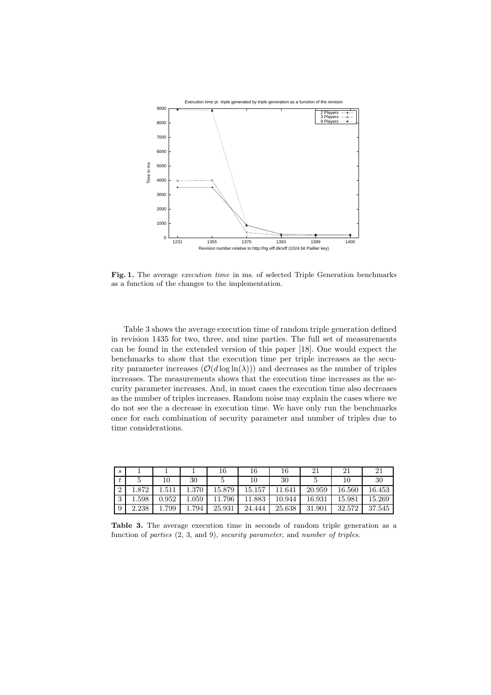

Fig. 1. The average *execution time* in ms. of selected Triple Generation benchmarks as a function of the changes to the implementation.

Table 3 shows the average execution time of random triple generation defined in revision 1435 for two, three, and nine parties. The full set of measurements can be found in the extended version of this paper [18]. One would expect the benchmarks to show that the execution time per triple increases as the security parameter increases  $(\mathcal{O}(d \log \ln(\lambda)))$  and decreases as the number of triples increases. The measurements shows that the execution time increases as the security parameter increases. And, in most cases the execution time also decreases as the number of triples increases. Random noise may explain the cases where we do not see the a decrease in execution time. We have only run the benchmarks once for each combination of security parameter and number of triples due to time considerations.

| $\mathcal{S}_{0}$ |       |       |       |        | 16     | 16     | 21     | 21     | $\mathcal{D}$ |
|-------------------|-------|-------|-------|--------|--------|--------|--------|--------|---------------|
|                   |       | 10    | 30    |        |        | 30     |        | 10     | 30            |
| ച                 | .872  | .511  | 1.370 | 15.879 | 15.157 | 11.641 | 20.959 | 16.560 | 16.453        |
| $\Omega$<br>Û     | .598  | 0.952 | 1.059 | 11.796 | 11.883 | 10.944 | 16.931 | 15.981 | 15.269        |
| 9                 | 2.238 | 1.799 | 1.794 | 25.931 | 24.444 | 25.638 | 31.901 | 32.572 | 37.545        |

Table 3. The average execution time in seconds of random triple generation as a function of parties  $(2, 3, \text{ and } 9)$ , security parameter, and number of triples.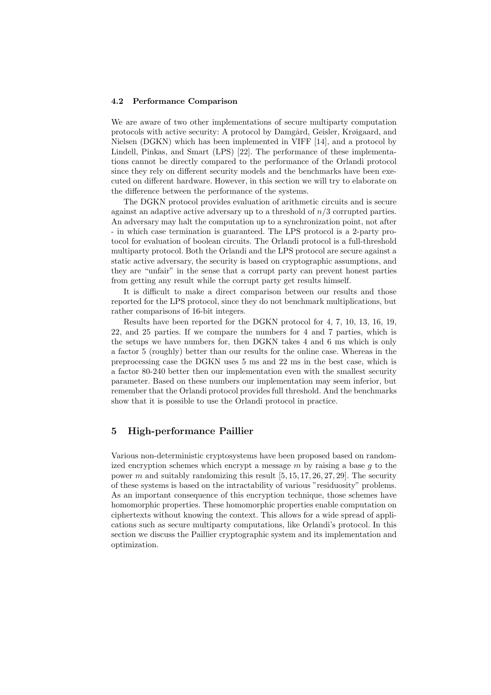#### 4.2 Performance Comparison

We are aware of two other implementations of secure multiparty computation protocols with active security: A protocol by Damgård, Geisler, Krøigaard, and Nielsen (DGKN) which has been implemented in VIFF [14], and a protocol by Lindell, Pinkas, and Smart (LPS) [22]. The performance of these implementations cannot be directly compared to the performance of the Orlandi protocol since they rely on different security models and the benchmarks have been executed on different hardware. However, in this section we will try to elaborate on the difference between the performance of the systems.

The DGKN protocol provides evaluation of arithmetic circuits and is secure against an adaptive active adversary up to a threshold of  $n/3$  corrupted parties. An adversary may halt the computation up to a synchronization point, not after - in which case termination is guaranteed. The LPS protocol is a 2-party protocol for evaluation of boolean circuits. The Orlandi protocol is a full-threshold multiparty protocol. Both the Orlandi and the LPS protocol are secure against a static active adversary, the security is based on cryptographic assumptions, and they are "unfair" in the sense that a corrupt party can prevent honest parties from getting any result while the corrupt party get results himself.

It is difficult to make a direct comparison between our results and those reported for the LPS protocol, since they do not benchmark multiplications, but rather comparisons of 16-bit integers.

Results have been reported for the DGKN protocol for 4, 7, 10, 13, 16, 19, 22, and 25 parties. If we compare the numbers for 4 and 7 parties, which is the setups we have numbers for, then DGKN takes 4 and 6 ms which is only a factor 5 (roughly) better than our results for the online case. Whereas in the preprocessing case the DGKN uses 5 ms and 22 ms in the best case, which is a factor 80-240 better then our implementation even with the smallest security parameter. Based on these numbers our implementation may seem inferior, but remember that the Orlandi protocol provides full threshold. And the benchmarks show that it is possible to use the Orlandi protocol in practice.

## 5 High-performance Paillier

Various non-deterministic cryptosystems have been proposed based on randomized encryption schemes which encrypt a message  $m$  by raising a base  $q$  to the power  $m$  and suitably randomizing this result  $[5, 15, 17, 26, 27, 29]$ . The security of these systems is based on the intractability of various "residuosity" problems. As an important consequence of this encryption technique, those schemes have homomorphic properties. These homomorphic properties enable computation on ciphertexts without knowing the context. This allows for a wide spread of applications such as secure multiparty computations, like Orlandi's protocol. In this section we discuss the Paillier cryptographic system and its implementation and optimization.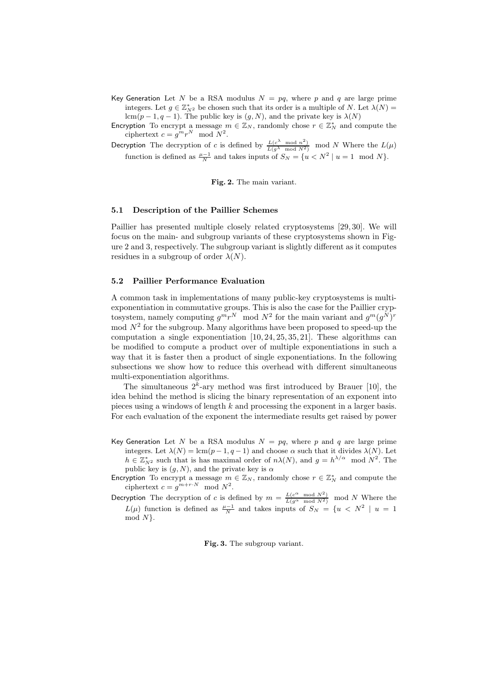Key Generation Let N be a RSA modulus  $N = pq$ , where p and q are large prime integers. Let  $g \in \mathbb{Z}_{N^2}^*$  be chosen such that its order is a multiple of N. Let  $\lambda(N)$  = lcm(p – 1, q – 1). The public key is  $(g, N)$ , and the private key is  $\lambda(N)$ 

Encryption To encrypt a message  $m \in \mathbb{Z}_N$ , randomly chose  $r \in \mathbb{Z}_N^*$  and compute the ciphertext  $c = g^m r^N \mod N^2$ .

Decryption The decryption of c is defined by  $\frac{L(c^{\lambda} \mod n^2)}{L(g^{\lambda} \mod N^2)}$  mod N Where the  $L(\mu)$ function is defined as  $\frac{\mu-1}{N}$  and takes inputs of  $S_N = \{u < N^2 \mid u = 1 \mod N\}.$ 

Fig. 2. The main variant.

#### 5.1 Description of the Paillier Schemes

Paillier has presented multiple closely related cryptosystems [29, 30]. We will focus on the main- and subgroup variants of these cryptosystems shown in Figure 2 and 3, respectively. The subgroup variant is slightly different as it computes residues in a subgroup of order  $\lambda(N)$ .

#### 5.2 Paillier Performance Evaluation

A common task in implementations of many public-key cryptosystems is multiexponentiation in commutative groups. This is also the case for the Paillier cryptosystem, namely computing  $g^m r^N \mod N^2$  for the main variant and  $g^m (g^N)^r$  $\text{mod } N^2$  for the subgroup. Many algorithms have been proposed to speed-up the computation a single exponentiation  $[10, 24, 25, 35, 21]$ . These algorithms can be modified to compute a product over of multiple exponentiations in such a way that it is faster then a product of single exponentiations. In the following subsections we show how to reduce this overhead with different simultaneous multi-exponentiation algorithms.

The simultaneous  $2^k$ -ary method was first introduced by Brauer [10], the idea behind the method is slicing the binary representation of an exponent into pieces using a windows of length k and processing the exponent in a larger basis. For each evaluation of the exponent the intermediate results get raised by power

- Key Generation Let N be a RSA modulus  $N = pq$ , where p and q are large prime integers. Let  $\lambda(N) = \text{lcm}(p-1, q-1)$  and choose  $\alpha$  such that it divides  $\lambda(N)$ . Let  $h \in \mathbb{Z}_{N^2}^*$  such that is has maximal order of  $n\lambda(N)$ , and  $g = h^{\lambda/\alpha} \mod N^2$ . The public key is  $(g, N)$ , and the private key is  $\alpha$
- Encryption To encrypt a message  $m \in \mathbb{Z}_N$ , randomly chose  $r \in \mathbb{Z}_N^*$  and compute the ciphertext  $c = g^{m+r\cdot N} \mod N^2$ .

Decryption The decryption of c is defined by  $m = \frac{L(c^{\alpha} \mod N^2)}{L(g^{\alpha} \mod N^2)}$  mod N Where the  $L(\mu)$  function is defined as  $\frac{\mu-1}{N}$  and takes inputs of  $S_N = \{u \lt N^2 \mid u = 1\}$ mod  $N$ .

Fig. 3. The subgroup variant.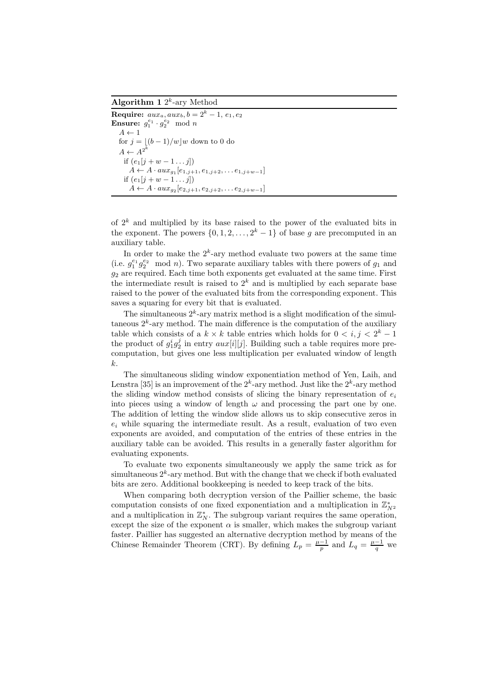Algorithm 1  $2^k$ -ary Method

Require:  $aux_a, aux_b, b = 2^k - 1, e_1, e_2$ **Ensure:**  $g_1^{e_1} \cdot g_2^{e_2} \mod n$  $A \leftarrow 1$ for  $j = \lfloor (b-1)/w \rfloor w$  down to 0 do  $A \leftarrow A^{2^k}$ if  $(e_1[j+w-1\ldots j])$  $A \leftarrow A \cdot aux_{g_1}[e_{1,j+1}, e_{1,j+2}, \ldots e_{1,j+w-1}]$ if  $(e_1[j + w - 1 \dots j])$  $A \leftarrow A \cdot aux_{g_2}[e_{2,j+1}, e_{2,j+2}, \ldots e_{2,j+w-1}]$ 

of  $2<sup>k</sup>$  and multiplied by its base raised to the power of the evaluated bits in the exponent. The powers  $\{0, 1, 2, \ldots, 2^k - 1\}$  of base g are precomputed in an auxiliary table.

In order to make the  $2^k$ -ary method evaluate two powers at the same time (i.e.  $g_1^{e_1} g_2^{e_2} \mod n$ ). Two separate auxiliary tables with there powers of  $g_1$  and  $g_2$  are required. Each time both exponents get evaluated at the same time. First the intermediate result is raised to  $2<sup>k</sup>$  and is multiplied by each separate base raised to the power of the evaluated bits from the corresponding exponent. This saves a squaring for every bit that is evaluated.

The simultaneous  $2^k$ -ary matrix method is a slight modification of the simultaneous  $2^k$ -ary method. The main difference is the computation of the auxiliary table which consists of a  $k \times k$  table entries which holds for  $0 \lt i, j \lt 2^k - 1$ the product of  $g_1^i g_2^j$  in entry  $aux[i][j]$ . Building such a table requires more precomputation, but gives one less multiplication per evaluated window of length k.

The simultaneous sliding window exponentiation method of Yen, Laih, and Lenstra [35] is an improvement of the  $2^k$ -ary method. Just like the  $2^k$ -ary method the sliding window method consists of slicing the binary representation of  $e_i$ into pieces using a window of length  $\omega$  and processing the part one by one. The addition of letting the window slide allows us to skip consecutive zeros in  $e_i$ , while squaring the intermediate result. As a result, evaluation of two even exponents are avoided, and computation of the entries of these entries in the auxiliary table can be avoided. This results in a generally faster algorithm for evaluating exponents.

To evaluate two exponents simultaneously we apply the same trick as for simultaneous  $2^k$ -ary method. But with the change that we check if both evaluated bits are zero. Additional bookkeeping is needed to keep track of the bits.

When comparing both decryption version of the Paillier scheme, the basic computation consists of one fixed exponentiation and a multiplication in  $\mathbb{Z}_{N^2}^*$ and a multiplication in  $\mathbb{Z}_N^*$ . The subgroup variant requires the same operation, except the size of the exponent  $\alpha$  is smaller, which makes the subgroup variant faster. Paillier has suggested an alternative decryption method by means of the Chinese Remainder Theorem (CRT). By defining  $L_p = \frac{\mu - 1}{p}$  and  $L_q = \frac{\mu - 1}{q}$  we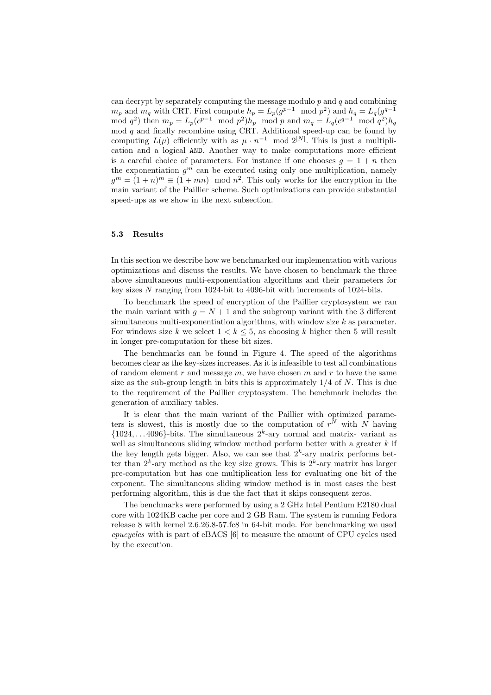can decrypt by separately computing the message modulo  $p$  and  $q$  and combining  $m_p$  and  $m_q$  with CRT. First compute  $h_p = L_p(g^{p-1} \mod p^2)$  and  $h_q = L_q(g^{q-1} \mod p^2)$ mod  $q^2$ ) then  $m_p = L_p(c^{p-1} \mod p^2)h_p \mod p$  and  $m_q = L_q(c^{q-1} \mod q^2)h_q$ mod  $q$  and finally recombine using CRT. Additional speed-up can be found by computing  $L(\mu)$  efficiently with as  $\mu \cdot n^{-1}$  mod  $2^{|N|}$ . This is just a multiplication and a logical AND. Another way to make computations more efficient is a careful choice of parameters. For instance if one chooses  $g = 1 + n$  then the exponentiation  $g^m$  can be executed using only one multiplication, namely  $g^m = (1+n)^m \equiv (1+mn) \mod n^2$ . This only works for the encryption in the main variant of the Paillier scheme. Such optimizations can provide substantial speed-ups as we show in the next subsection.

## 5.3 Results

In this section we describe how we benchmarked our implementation with various optimizations and discuss the results. We have chosen to benchmark the three above simultaneous multi-exponentiation algorithms and their parameters for key sizes N ranging from 1024-bit to 4096-bit with increments of 1024-bits.

To benchmark the speed of encryption of the Paillier cryptosystem we ran the main variant with  $g = N + 1$  and the subgroup variant with the 3 different simultaneous multi-exponentiation algorithms, with window size  $k$  as parameter. For windows size k we select  $1 < k \leq 5$ , as choosing k higher then 5 will result in longer pre-computation for these bit sizes.

The benchmarks can be found in Figure 4. The speed of the algorithms becomes clear as the key-sizes increases. As it is infeasible to test all combinations of random element r and message  $m$ , we have chosen m and r to have the same size as the sub-group length in bits this is approximately  $1/4$  of N. This is due to the requirement of the Paillier cryptosystem. The benchmark includes the generation of auxiliary tables.

It is clear that the main variant of the Paillier with optimized parameters is slowest, this is mostly due to the computation of  $r^N$  with N having  ${1024, \ldots 4096}$ -bits. The simultaneous  $2^k$ -ary normal and matrix- variant as well as simultaneous sliding window method perform better with a greater  $k$  if the key length gets bigger. Also, we can see that  $2<sup>k</sup>$ -ary matrix performs better than  $2^k$ -ary method as the key size grows. This is  $2^k$ -ary matrix has larger pre-computation but has one multiplication less for evaluating one bit of the exponent. The simultaneous sliding window method is in most cases the best performing algorithm, this is due the fact that it skips consequent zeros.

The benchmarks were performed by using a 2 GHz Intel Pentium E2180 dual core with 1024KB cache per core and 2 GB Ram. The system is running Fedora release 8 with kernel 2.6.26.8-57.fc8 in 64-bit mode. For benchmarking we used cpucycles with is part of eBACS [6] to measure the amount of CPU cycles used by the execution.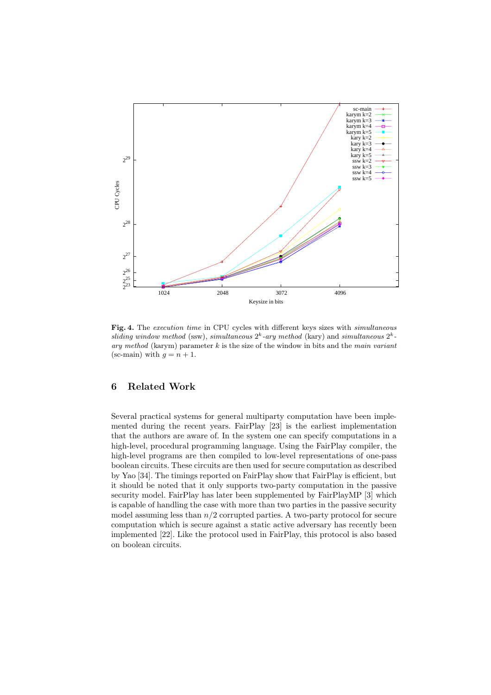

Fig. 4. The execution time in CPU cycles with different keys sizes with simultaneous sliding window method (ssw), simultaneous  $2^k$ -ary method (kary) and simultaneous  $2^k$ ary method (karym) parameter  $k$  is the size of the window in bits and the main variant (sc-main) with  $g = n + 1$ .

# 6 Related Work

Several practical systems for general multiparty computation have been implemented during the recent years. FairPlay [23] is the earliest implementation that the authors are aware of. In the system one can specify computations in a high-level, procedural programming language. Using the FairPlay compiler, the high-level programs are then compiled to low-level representations of one-pass boolean circuits. These circuits are then used for secure computation as described by Yao [34]. The timings reported on FairPlay show that FairPlay is efficient, but it should be noted that it only supports two-party computation in the passive security model. FairPlay has later been supplemented by FairPlayMP [3] which is capable of handling the case with more than two parties in the passive security model assuming less than  $n/2$  corrupted parties. A two-party protocol for secure computation which is secure against a static active adversary has recently been implemented [22]. Like the protocol used in FairPlay, this protocol is also based on boolean circuits.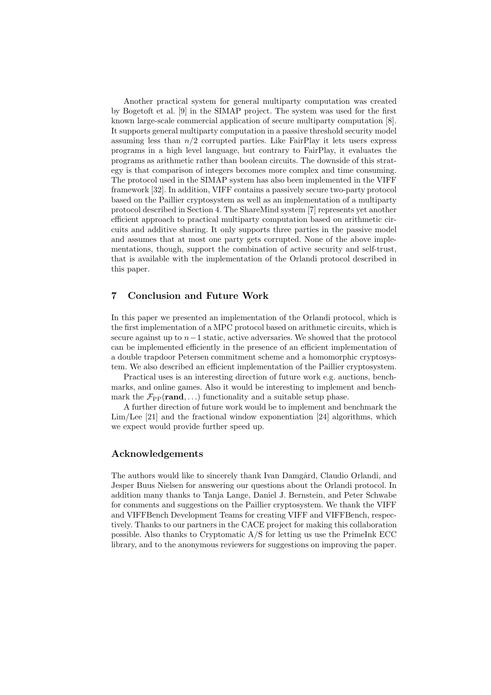Another practical system for general multiparty computation was created by Bogetoft et al. [9] in the SIMAP project. The system was used for the first known large-scale commercial application of secure multiparty computation [8]. It supports general multiparty computation in a passive threshold security model assuming less than  $n/2$  corrupted parties. Like FairPlay it lets users express programs in a high level language, but contrary to FairPlay, it evaluates the programs as arithmetic rather than boolean circuits. The downside of this strategy is that comparison of integers becomes more complex and time consuming. The protocol used in the SIMAP system has also been implemented in the VIFF framework [32]. In addition, VIFF contains a passively secure two-party protocol based on the Paillier cryptosystem as well as an implementation of a multiparty protocol described in Section 4. The ShareMind system [7] represents yet another efficient approach to practical multiparty computation based on arithmetic circuits and additive sharing. It only supports three parties in the passive model and assumes that at most one party gets corrupted. None of the above implementations, though, support the combination of active security and self-trust, that is available with the implementation of the Orlandi protocol described in this paper.

## 7 Conclusion and Future Work

In this paper we presented an implementation of the Orlandi protocol, which is the first implementation of a MPC protocol based on arithmetic circuits, which is secure against up to  $n-1$  static, active adversaries. We showed that the protocol can be implemented efficiently in the presence of an efficient implementation of a double trapdoor Petersen commitment scheme and a homomorphic cryptosystem. We also described an efficient implementation of the Paillier cryptosystem.

Practical uses is an interesting direction of future work e.g. auctions, benchmarks, and online games. Also it would be interesting to implement and benchmark the  $\mathcal{F}_{PP}(rand, ...)$  functionality and a suitable setup phase.

A further direction of future work would be to implement and benchmark the Lim/Lee [21] and the fractional window exponentiation [24] algorithms, which we expect would provide further speed up.

### Acknowledgements

The authors would like to sincerely thank Ivan Damgård, Claudio Orlandi, and Jesper Buus Nielsen for answering our questions about the Orlandi protocol. In addition many thanks to Tanja Lange, Daniel J. Bernstein, and Peter Schwabe for comments and suggestions on the Paillier cryptosystem. We thank the VIFF and VIFFBench Development Teams for creating VIFF and VIFFBench, respectively. Thanks to our partners in the CACE project for making this collaboration possible. Also thanks to Cryptomatic A/S for letting us use the PrimeInk ECC library, and to the anonymous reviewers for suggestions on improving the paper.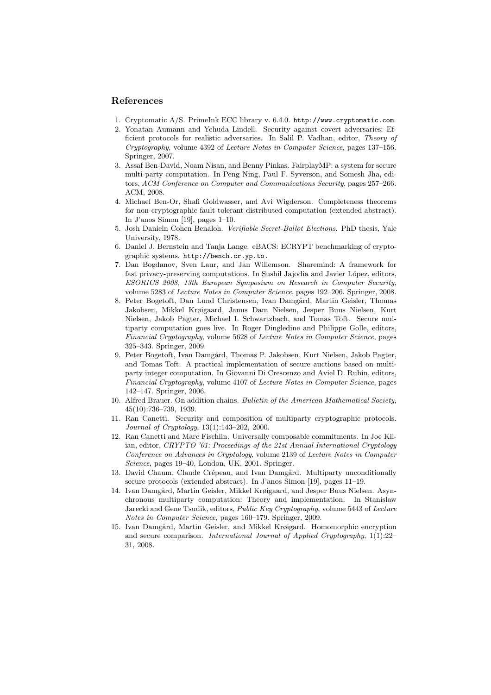## References

- 1. Cryptomatic A/S. PrimeInk ECC library v. 6.4.0. http://www.cryptomatic.com.
- 2. Yonatan Aumann and Yehuda Lindell. Security against covert adversaries: Efficient protocols for realistic adversaries. In Salil P. Vadhan, editor, Theory of Cryptography, volume 4392 of Lecture Notes in Computer Science, pages 137–156. Springer, 2007.
- 3. Assaf Ben-David, Noam Nisan, and Benny Pinkas. FairplayMP: a system for secure multi-party computation. In Peng Ning, Paul F. Syverson, and Somesh Jha, editors, ACM Conference on Computer and Communications Security, pages 257–266. ACM, 2008.
- 4. Michael Ben-Or, Shafi Goldwasser, and Avi Wigderson. Completeness theorems for non-cryptographic fault-tolerant distributed computation (extended abstract). In J'anos Simon [19], pages 1–10.
- 5. Josh Danieln Cohen Benaloh. Verifiable Secret-Ballot Elections. PhD thesis, Yale University, 1978.
- 6. Daniel J. Bernstein and Tanja Lange. eBACS: ECRYPT benchmarking of cryptographic systems. http://bench.cr.yp.to.
- 7. Dan Bogdanov, Sven Laur, and Jan Willemson. Sharemind: A framework for fast privacy-preserving computations. In Sushil Jajodia and Javier López, editors, ESORICS 2008, 13th European Symposium on Research in Computer Security, volume 5283 of Lecture Notes in Computer Science, pages 192–206. Springer, 2008.
- 8. Peter Bogetoft, Dan Lund Christensen, Ivan Damgård, Martin Geisler, Thomas Jakobsen, Mikkel Krøigaard, Janus Dam Nielsen, Jesper Buus Nielsen, Kurt Nielsen, Jakob Pagter, Michael I. Schwartzbach, and Tomas Toft. Secure multiparty computation goes live. In Roger Dingledine and Philippe Golle, editors, Financial Cryptography, volume 5628 of Lecture Notes in Computer Science, pages 325–343. Springer, 2009.
- 9. Peter Bogetoft, Ivan Damgård, Thomas P. Jakobsen, Kurt Nielsen, Jakob Pagter, and Tomas Toft. A practical implementation of secure auctions based on multiparty integer computation. In Giovanni Di Crescenzo and Aviel D. Rubin, editors, Financial Cryptography, volume 4107 of Lecture Notes in Computer Science, pages 142–147. Springer, 2006.
- 10. Alfred Brauer. On addition chains. Bulletin of the American Mathematical Society, 45(10):736–739, 1939.
- 11. Ran Canetti. Security and composition of multiparty cryptographic protocols. Journal of Cryptology, 13(1):143–202, 2000.
- 12. Ran Canetti and Marc Fischlin. Universally composable commitments. In Joe Kilian, editor, CRYPTO '01: Proceedings of the 21st Annual International Cryptology Conference on Advances in Cryptology, volume 2139 of Lecture Notes in Computer Science, pages 19–40, London, UK, 2001. Springer.
- 13. David Chaum, Claude Crépeau, and Ivan Damgård. Multiparty unconditionally secure protocols (extended abstract). In J'anos Simon [19], pages 11–19.
- 14. Ivan Damgård, Martin Geisler, Mikkel Krøigaard, and Jesper Buus Nielsen. Asynchronous multiparty computation: Theory and implementation. In Stanislaw Jarecki and Gene Tsudik, editors, Public Key Cryptography, volume 5443 of Lecture Notes in Computer Science, pages 160–179. Springer, 2009.
- 15. Ivan Damgård, Martin Geisler, and Mikkel Krøigard. Homomorphic encryption and secure comparison. International Journal of Applied Cryptography, 1(1):22– 31, 2008.